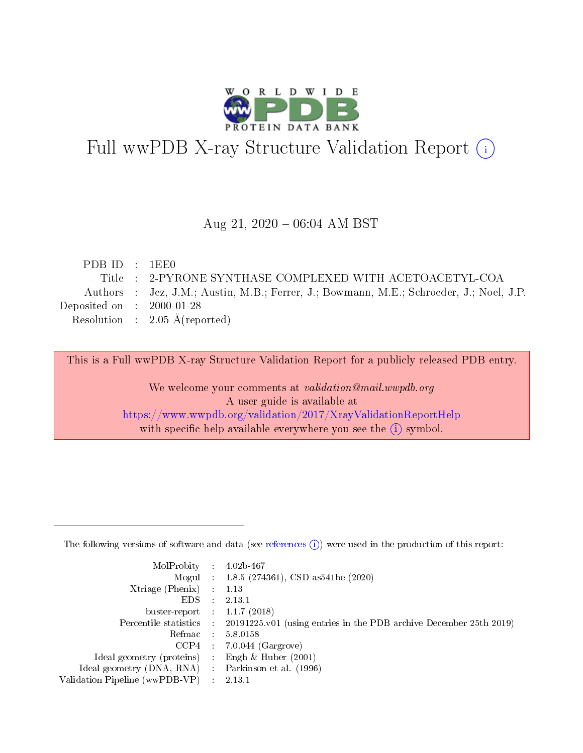

# Full wwPDB X-ray Structure Validation Report (i)

#### Aug 21,  $2020 - 06:04$  AM BST

| PDBID : 1EE0                |                                                                                         |
|-----------------------------|-----------------------------------------------------------------------------------------|
|                             | Title : 2-PYRONE SYNTHASE COMPLEXED WITH ACETOACETYL-COA                                |
|                             | Authors : Jez, J.M.; Austin, M.B.; Ferrer, J.; Bowmann, M.E.; Schroeder, J.; Noel, J.P. |
| Deposited on : $2000-01-28$ |                                                                                         |
|                             | Resolution : $2.05 \text{ Å}$ (reported)                                                |
|                             |                                                                                         |

This is a Full wwPDB X-ray Structure Validation Report for a publicly released PDB entry.

We welcome your comments at validation@mail.wwpdb.org A user guide is available at <https://www.wwpdb.org/validation/2017/XrayValidationReportHelp> with specific help available everywhere you see the  $(i)$  symbol.

The following versions of software and data (see [references](https://www.wwpdb.org/validation/2017/XrayValidationReportHelp#references)  $(1)$ ) were used in the production of this report:

| MolProbity                     | -11        | $4.02b - 467$                                                      |
|--------------------------------|------------|--------------------------------------------------------------------|
|                                |            | Mogul : $1.8.5$ (274361), CSD as 541be (2020)                      |
| Xtriage (Phenix)               |            | 1.13                                                               |
| EDS.                           |            | 2.13.1                                                             |
| buster-report : $1.1.7$ (2018) |            |                                                                    |
| Percentile statistics :        |            | 20191225.v01 (using entries in the PDB archive December 25th 2019) |
| Refmac                         | $\sim 100$ | 5.8.0158                                                           |
| CCP4                           |            | $7.0.044$ (Gargrove)                                               |
| Ideal geometry (proteins) :    |            | Engh $\&$ Huber (2001)                                             |
| Ideal geometry (DNA, RNA) :    |            | Parkinson et al. (1996)                                            |
| Validation Pipeline (wwPDB-VP) |            | 2.13.1                                                             |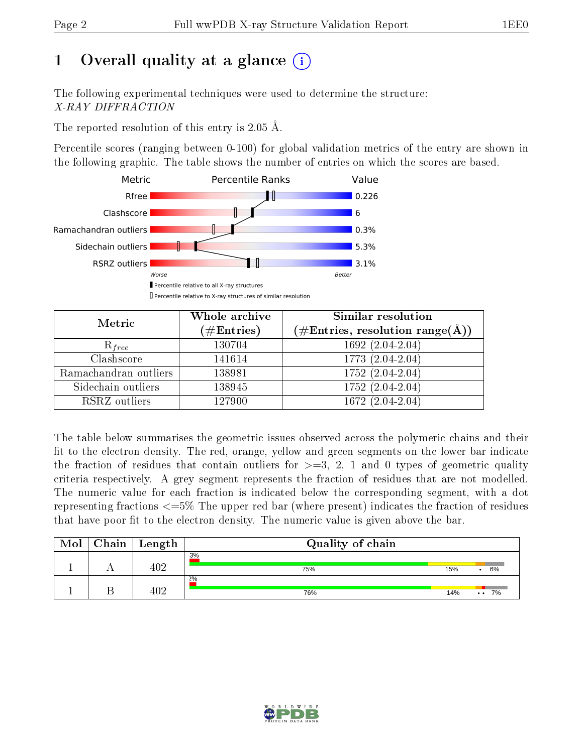# 1 [O](https://www.wwpdb.org/validation/2017/XrayValidationReportHelp#overall_quality)verall quality at a glance  $(i)$

The following experimental techniques were used to determine the structure: X-RAY DIFFRACTION

The reported resolution of this entry is 2.05 Å.

Percentile scores (ranging between 0-100) for global validation metrics of the entry are shown in the following graphic. The table shows the number of entries on which the scores are based.



| Metric                | Whole archive<br>$(\#\mathrm{Entries})$ | Similar resolution<br>$(\#\text{Entries}, \text{resolution range}(\textup{\AA}))$ |  |  |
|-----------------------|-----------------------------------------|-----------------------------------------------------------------------------------|--|--|
| $R_{free}$            | 130704                                  | $1692(2.04-2.04)$                                                                 |  |  |
| Clashscore            | 141614                                  | 1773 (2.04-2.04)                                                                  |  |  |
| Ramachandran outliers | 138981                                  | $1752(2.04-2.04)$                                                                 |  |  |
| Sidechain outliers    | 138945                                  | 1752 (2.04-2.04)                                                                  |  |  |
| RSRZ outliers         | 127900                                  | 1672 (2.04-2.04)                                                                  |  |  |

The table below summarises the geometric issues observed across the polymeric chains and their fit to the electron density. The red, orange, yellow and green segments on the lower bar indicate the fraction of residues that contain outliers for  $>=3, 2, 1$  and 0 types of geometric quality criteria respectively. A grey segment represents the fraction of residues that are not modelled. The numeric value for each fraction is indicated below the corresponding segment, with a dot representing fractions  $\epsilon=5\%$  The upper red bar (where present) indicates the fraction of residues that have poor fit to the electron density. The numeric value is given above the bar.

| Mol | Chain | Length | Quality of chain |     |                            |
|-----|-------|--------|------------------|-----|----------------------------|
|     |       | 402    | 3%<br>75%        | 15% | 6%                         |
|     |       | $\cap$ | 2%<br>76%        | 14% | 7%<br>$\ddot{\phantom{0}}$ |

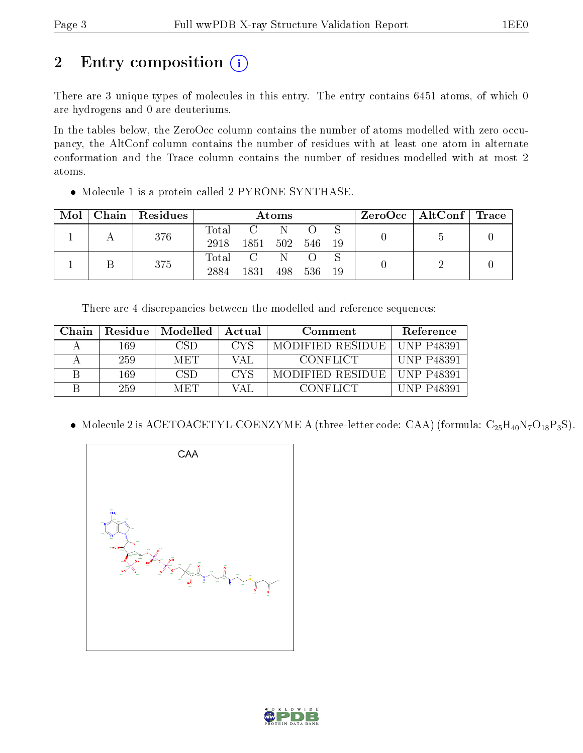# 2 Entry composition  $\left( \cdot \right)$

There are 3 unique types of molecules in this entry. The entry contains 6451 atoms, of which 0 are hydrogens and 0 are deuteriums.

In the tables below, the ZeroOcc column contains the number of atoms modelled with zero occupancy, the AltConf column contains the number of residues with at least one atom in alternate conformation and the Trace column contains the number of residues modelled with at most 2 atoms.

• Molecule 1 is a protein called 2-PYRONE SYNTHASE.

|  | $Mol$   Chain   Residues | Atoms         |                                                                        |           |       | $\rm ZeroOcc \mid AltConf \mid Trace$ |  |  |
|--|--------------------------|---------------|------------------------------------------------------------------------|-----------|-------|---------------------------------------|--|--|
|  | 376                      | Total<br>2918 | $\overline{\mathbf{C}}$ and $\overline{\mathbf{C}}$<br>1851 502 546 19 | - N       |       |                                       |  |  |
|  | 375                      | 2884          | Total C<br>1831                                                        | N.<br>498 | - 536 | - 19                                  |  |  |

There are 4 discrepancies between the modelled and reference sequences:

| Chain | Residue | Modelled   | Actual           | Comment          | Reference         |
|-------|---------|------------|------------------|------------------|-------------------|
|       | 169     | - (181) -  | CYS <sup>-</sup> | MODIFIED RESIDUE | UNP P48391        |
|       | 259     | <b>MET</b> | VAL              | <b>CONFLICT</b>  | UNP P48391        |
|       | 169     | CSD        | <b>CYS</b>       | MODIFIED RESIDUE | UNP P48391        |
|       | 259     | MET.       | VAL              | <b>CONFLICT</b>  | <b>UNP P48391</b> |

• Molecule 2 is ACETOACETYL-COENZYME A (three-letter code: CAA) (formula:  $C_{25}H_{40}N_7O_{18}P_3S$ ).



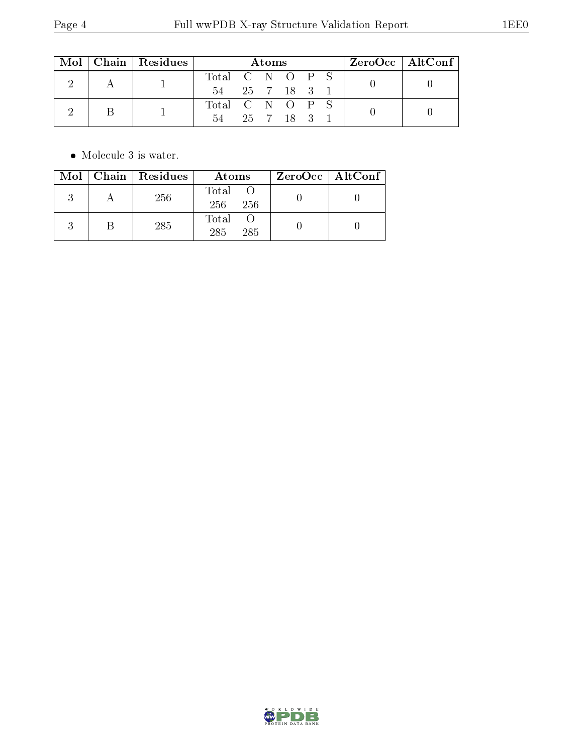|  |  | $Mol$   Chain   Residues | Atoms           |  |           |  |  |  | $ZeroOcc \   \ AltConf \  $ |  |
|--|--|--------------------------|-----------------|--|-----------|--|--|--|-----------------------------|--|
|  |  | Total C N O P S          |                 |  |           |  |  |  |                             |  |
|  |  | 54 25 7 18 3             |                 |  |           |  |  |  |                             |  |
|  |  |                          | Total C N O P S |  |           |  |  |  |                             |  |
|  |  | 54                       |                 |  | 25 7 18 3 |  |  |  |                             |  |

 $\bullet\,$  Molecule 3 is water.

|  | $Mol$   Chain   Residues | Atoms                 | ZeroOcc   AltConf |
|--|--------------------------|-----------------------|-------------------|
|  | 256                      | Total O<br>256<br>256 |                   |
|  | 285                      | Total<br>285<br>285   |                   |

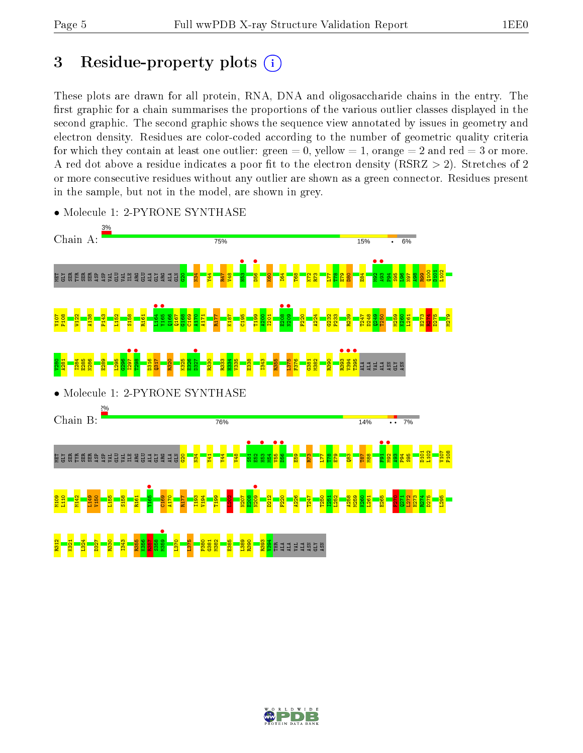# 3 Residue-property plots  $(i)$

These plots are drawn for all protein, RNA, DNA and oligosaccharide chains in the entry. The first graphic for a chain summarises the proportions of the various outlier classes displayed in the second graphic. The second graphic shows the sequence view annotated by issues in geometry and electron density. Residues are color-coded according to the number of geometric quality criteria for which they contain at least one outlier: green  $= 0$ , yellow  $= 1$ , orange  $= 2$  and red  $= 3$  or more. A red dot above a residue indicates a poor fit to the electron density ( $RSRZ > 2$ ). Stretches of 2 or more consecutive residues without any outlier are shown as a green connector. Residues present in the sample, but not in the model, are shown in grey.



• Molecule 1: 2-PYRONE SYNTHASE

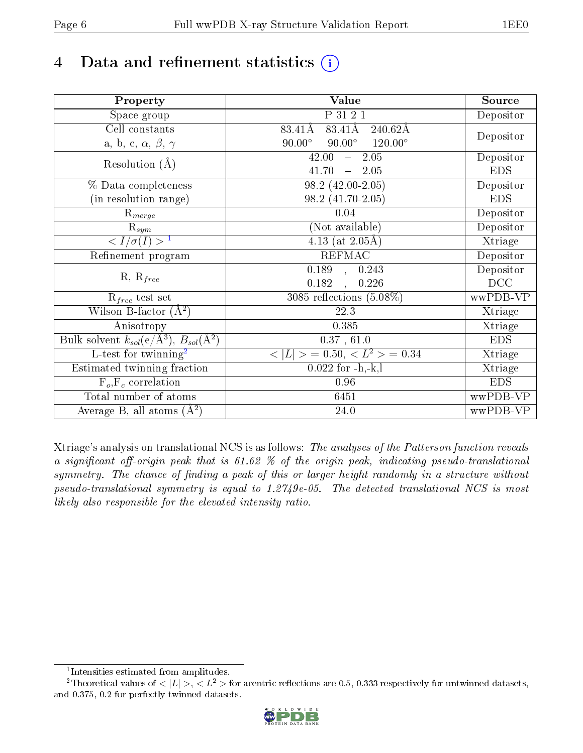# 4 Data and refinement statistics  $(i)$

| Property                                                             | Value                                            | Source     |
|----------------------------------------------------------------------|--------------------------------------------------|------------|
| Space group                                                          | P 31 2 1                                         | Depositor  |
| Cell constants                                                       | 83.41Å<br>83.41Å<br>$240.62\text{\AA}$           |            |
| a, b, c, $\alpha$ , $\beta$ , $\gamma$                               | $90.00^\circ$<br>$120.00^\circ$<br>$90.00^\circ$ | Depositor  |
| Resolution $(A)$                                                     | 2.05<br>42.00<br>$\frac{1}{2}$                   | Depositor  |
|                                                                      | 41.70<br>$-2.05$                                 | <b>EDS</b> |
| % Data completeness                                                  | 98.2 (42.00-2.05)                                | Depositor  |
| (in resolution range)                                                | 98.2 (41.70-2.05)                                | <b>EDS</b> |
| $R_{merge}$                                                          | 0.04                                             | Depositor  |
| $\mathrm{R}_{sym}$                                                   | (Not available)                                  | Depositor  |
| $\sqrt{I/\sigma}(I) > 1$                                             | 4.13 (at $2.05\text{\AA}$ )                      | Xtriage    |
| Refinement program                                                   | <b>REFMAC</b>                                    | Depositor  |
| $R, R_{free}$                                                        | $\overline{0.189}$ ,<br>0.243                    | Depositor  |
|                                                                      | 0.182<br>0.226                                   | DCC        |
| $R_{free}$ test set                                                  | 3085 reflections $(5.08\%)$                      | wwPDB-VP   |
| Wilson B-factor $(A^2)$                                              | 22.3                                             | Xtriage    |
| Anisotropy                                                           | 0.385                                            | Xtriage    |
| Bulk solvent $k_{sol}(e/\mathring{A}^3)$ , $B_{sol}(\mathring{A}^2)$ | 0.37, 61.0                                       | <b>EDS</b> |
| L-test for twinning <sup>2</sup>                                     | $< L >$ = 0.50, $< L2 >$ = 0.34                  | Xtriage    |
| Estimated twinning fraction                                          | $0.022$ for $-h,-k,l$                            | Xtriage    |
| $F_o, F_c$ correlation                                               | 0.96                                             | <b>EDS</b> |
| Total number of atoms                                                | 6451                                             | wwPDB-VP   |
| Average B, all atoms $(A^2)$                                         | $24.0\,$                                         | wwPDB-VP   |

Xtriage's analysis on translational NCS is as follows: The analyses of the Patterson function reveals a significant off-origin peak that is 61.62  $\%$  of the origin peak, indicating pseudo-translational symmetry. The chance of finding a peak of this or larger height randomly in a structure without pseudo-translational symmetry is equal to 1.2749e-05. The detected translational NCS is most likely also responsible for the elevated intensity ratio.

<sup>&</sup>lt;sup>2</sup>Theoretical values of  $\langle |L| \rangle$ ,  $\langle L^2 \rangle$  for acentric reflections are 0.5, 0.333 respectively for untwinned datasets, and 0.375, 0.2 for perfectly twinned datasets.



<span id="page-5-1"></span><span id="page-5-0"></span><sup>1</sup> Intensities estimated from amplitudes.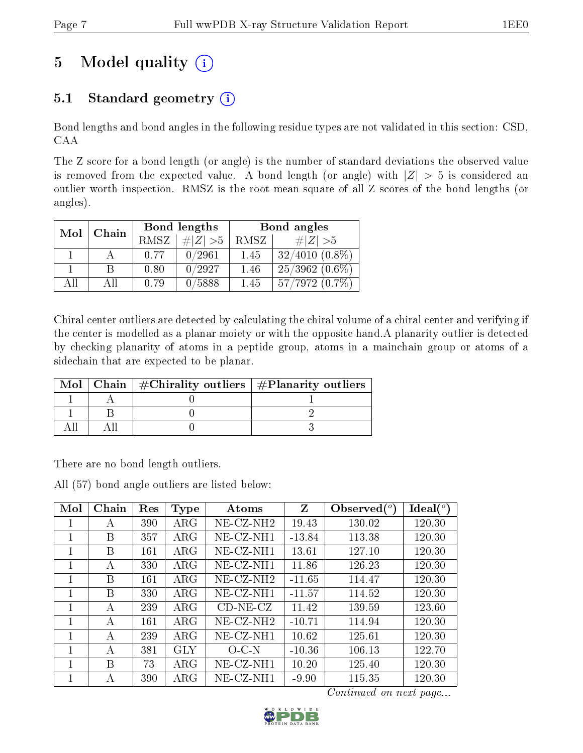# 5 Model quality  $(i)$

### 5.1 Standard geometry  $(i)$

Bond lengths and bond angles in the following residue types are not validated in this section: CSD, CAA

The Z score for a bond length (or angle) is the number of standard deviations the observed value is removed from the expected value. A bond length (or angle) with  $|Z| > 5$  is considered an outlier worth inspection. RMSZ is the root-mean-square of all Z scores of the bond lengths (or angles).

| Mol | Chain |      | Bond lengths | Bond angles |                  |  |
|-----|-------|------|--------------|-------------|------------------|--|
|     |       | RMSZ | $\ Z\  > 5$  | RMSZ        | # $ Z  > 5$      |  |
|     |       | 0.77 | 0/2961       | 1.45        | $32/4010(0.8\%)$ |  |
|     | R     | 0.80 | 0/2927       | 1.46        | $25/3962(0.6\%)$ |  |
| AH  | АH    | 0.79 | 0/5888       | 1.45        | $57/7972(0.7\%)$ |  |

Chiral center outliers are detected by calculating the chiral volume of a chiral center and verifying if the center is modelled as a planar moiety or with the opposite hand.A planarity outlier is detected by checking planarity of atoms in a peptide group, atoms in a mainchain group or atoms of a sidechain that are expected to be planar.

|  | Mol   Chain   $\#\text{Chirality outliers}$   $\#\text{Planarity outliers}$ |
|--|-----------------------------------------------------------------------------|
|  |                                                                             |
|  |                                                                             |
|  |                                                                             |

There are no bond length outliers.

All (57) bond angle outliers are listed below:

| Mol            | Chain | Res | Type       | Atoms        | Z        | Observed $(°)$ | $\text{Ideal}({}^o)$ |
|----------------|-------|-----|------------|--------------|----------|----------------|----------------------|
| 1              | А     | 390 | $\rm{ARG}$ | $NE-CZ-NH2$  | 19.43    | 130.02         | 120.30               |
| 1              | В     | 357 | $\rm{ARG}$ | $NE-CZ-NH1$  | $-13.84$ | 113.38         | 120.30               |
| 1              | В     | 161 | $\rm{ARG}$ | $NE-CZ-NH1$  | 13.61    | 127.10         | 120.30               |
| 1              | А     | 330 | $\rm{ARG}$ | NE-CZ-NH1    | 11.86    | 126.23         | 120.30               |
| 1              | В     | 161 | $\rm{ARG}$ | $NE-CZ-NH2$  | $-11.65$ | 114.47         | 120.30               |
| 1              | В     | 330 | $\rm{ARG}$ | $NE-CZ-NH1$  | $-11.57$ | 114.52         | 120.30               |
| 1              | А     | 239 | $\rm{ARG}$ | $CD-NE- CZ$  | 11.42    | 139.59         | 123.60               |
| 1              | А     | 161 | $\rm{ARG}$ | $NE- CZ-NH2$ | $-10.71$ | 114.94         | 120.30               |
| 1              | A     | 239 | $\rm{ARG}$ | $NE-CZ-NH1$  | 10.62    | 125.61         | 120.30               |
| 1              | А     | 381 | GLY        | $O-C-N$      | $-10.36$ | 106.13         | 122.70               |
| $\overline{1}$ | В     | 73  | $\rm{ARG}$ | $NE-CZ-NH1$  | 10.20    | 125.40         | 120.30               |
|                | А     | 390 | $\rm{ARG}$ | $NE-CZ-NH1$  | $-9.90$  | 115.35         | 120.30               |

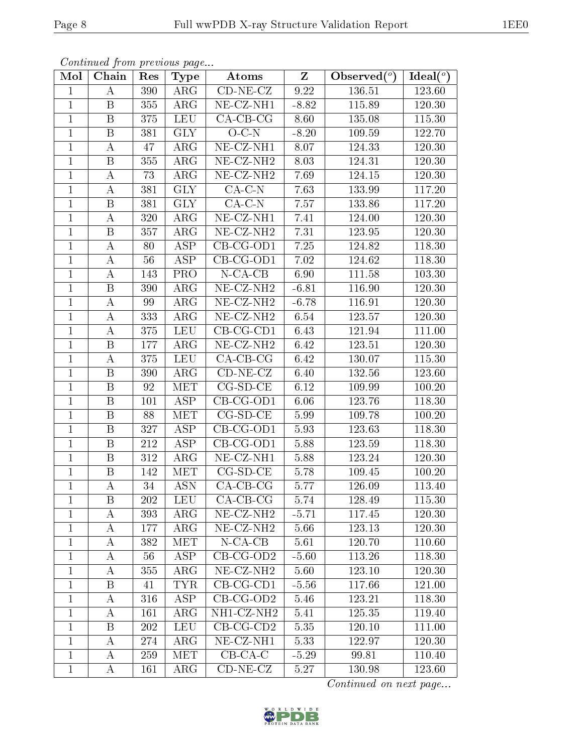|                | Continued from previous page |     |                         |                                |                         |                                                |             |
|----------------|------------------------------|-----|-------------------------|--------------------------------|-------------------------|------------------------------------------------|-------------|
| Mol            | Chain                        | Res | <b>Type</b>             | Atoms                          | $\overline{\mathbf{Z}}$ | Observed $\left(\overline{\phantom{a}}\right)$ | Ideal $(°)$ |
| $\mathbf{1}$   | A                            | 390 | $\rm{ARG}$              | $\overline{\text{CD-NE-CL}}$   | 9.22                    | 136.51                                         | 123.60      |
| $\mathbf{1}$   | $\mathbf{B}$                 | 355 | $\rm{ARG}$              | NE-CZ-NH1                      | $-8.82$                 | 115.89                                         | 120.30      |
| $\mathbf{1}$   | $\mathbf{B}$                 | 375 | <b>LEU</b>              | $CA$ -CB-CG                    | 8.60                    | 135.08                                         | 115.30      |
| $\mathbf{1}$   | $\boldsymbol{B}$             | 381 | <b>GLY</b>              | $O-C-N$                        | $-8.20$                 | 109.59                                         | 122.70      |
| $\mathbf{1}$   | А                            | 47  | $\rm{ARG}$              | $NE- CZ-NH1$                   | 8.07                    | 124.33                                         | 120.30      |
| $\mathbf{1}$   | B                            | 355 | $\rm{ARG}$              | NE-CZ-NH <sub>2</sub>          | 8.03                    | 124.31                                         | 120.30      |
| $\mathbf{1}$   | А                            | 73  | $\rm{ARG}$              | NE-CZ-NH <sub>2</sub>          | 7.69                    | 124.15                                         | 120.30      |
| $\mathbf{1}$   | А                            | 381 | <b>GLY</b>              | $\overline{CA}$ -C-N           | 7.63                    | 133.99                                         | 117.20      |
| $\mathbf{1}$   | B                            | 381 | <b>GLY</b>              | $CA-C-N$                       | 7.57                    | 133.86                                         | 117.20      |
| $\mathbf{1}$   | A                            | 320 | ARG                     | $NE- CZ-NH1$                   | 7.41                    | 124.00                                         | 120.30      |
| $\mathbf{1}$   | B                            | 357 | ARG                     | $NE- CZ-NH2$                   | 7.31                    | 123.95                                         | 120.30      |
| $\mathbf{1}$   | А                            | 80  | $\overline{\text{ASP}}$ | $\overline{\text{CB-CG-OD1}}$  | 7.25                    | 124.82                                         | 118.30      |
| $\mathbf{1}$   | $\boldsymbol{A}$             | 56  | <b>ASP</b>              | $CB-CG-OD1$                    | 7.02                    | 124.62                                         | 118.30      |
| $\mathbf{1}$   | $\bf{A}$                     | 143 | <b>PRO</b>              | $N$ -CA-CB                     | 6.90                    | 111.58                                         | 103.30      |
| $\mathbf{1}$   | $\, {\bf B}$                 | 390 | $\rm{ARG}$              | $\overline{\text{NE- CZ-NH2}}$ | $-6.81$                 | 116.90                                         | 120.30      |
| $\mathbf{1}$   | А                            | 99  | $\rm{ARG}$              | NE-CZ-NH <sub>2</sub>          | $-6.78$                 | 116.91                                         | 120.30      |
| $\overline{1}$ | $\boldsymbol{A}$             | 333 | $\rm{ARG}$              | NE-CZ-NH <sub>2</sub>          | 6.54                    | 123.57                                         | 120.30      |
| $\mathbf{1}$   | $\bf{A}$                     | 375 | <b>LEU</b>              | $CB-CG-CD1$                    | 6.43                    | 121.94                                         | 111.00      |
| $\mathbf{1}$   | $\mathbf{B}$                 | 177 | ARG                     | NE-CZ-NH <sub>2</sub>          | 6.42                    | 123.51                                         | 120.30      |
| $\mathbf{1}$   | А                            | 375 | <b>LEU</b>              | $CA-CB-CG$                     | 6.42                    | 130.07                                         | 115.30      |
| $\mathbf{1}$   | B                            | 390 | ARG                     | $CD-NE- CZ$                    | 6.40                    | 132.56                                         | 123.60      |
| $\mathbf{1}$   | B                            | 92  | <b>MET</b>              | $CG-SD-CE$                     | 6.12                    | 109.99                                         | 100.20      |
| $\mathbf{1}$   | B                            | 101 | <b>ASP</b>              | $CB-CG-OD1$                    | 6.06                    | 123.76                                         | 118.30      |
| $\mathbf{1}$   | $\mathbf B$                  | 88  | MET                     | $CG-SD-CE$                     | 5.99                    | 109.78                                         | 100.20      |
| $\mathbf{1}$   | B                            | 327 | ASP                     | $CB-CG-OD1$                    | 5.93                    | 123.63                                         | 118.30      |
| $\mathbf{1}$   | B                            | 212 | <b>ASP</b>              | $CB-CG-OD1$                    | 5.88                    | 123.59                                         | 118.30      |
| $\mathbf{1}$   | B                            | 312 | $\rm{ARG}$              | $NE- CZ-NH1$                   | 5.88                    | 123.24                                         | 120.30      |
| $\mathbf{1}$   | B                            | 142 | <b>MET</b>              | $CG-SD-CE$                     | 5.78                    | 109.45                                         | 100.20      |
| $\mathbf 1$    | $\bf{A}$                     | 34  | <b>ASN</b>              | $CA-CB-CG$                     | 5.77                    | 126.09                                         | 113.40      |
| $\mathbf{1}$   | B                            | 202 | <b>LEU</b>              | $CA-CB-CG$                     | 5.74                    | 128.49                                         | 115.30      |
| $\mathbf{1}$   | A                            | 393 | $\rm{ARG}$              | $NE$ -CZ-NH <sub>2</sub>       | $-5.71$                 | 117.45                                         | 120.30      |
| $\mathbf{1}$   | A                            | 177 | $\rm{ARG}$              | $NE- CZ-NH2$                   | 5.66                    | 123.13                                         | 120.30      |
| $\mathbf{1}$   | A                            | 382 | MET                     | $N$ -CA-CB                     | 5.61                    | 120.70                                         | 110.60      |
| $\mathbf{1}$   | A                            | 56  | ASP                     | $CB-CG-OD2$                    | $-5.60$                 | 113.26                                         | 118.30      |
| $\mathbf{1}$   | A                            | 355 | $\rm{ARG}$              | $NE- CZ-NH2$                   | 5.60                    | 123.10                                         | 120.30      |
| $\mathbf{1}$   | $\mathbf B$                  | 41  | <b>TYR</b>              | $CB-CG-CD1$                    | $-5.56$                 | 117.66                                         | 121.00      |
| $\mathbf{1}$   | A                            | 316 | ASP                     | $CB-CG-OD2$                    | 5.46                    | 123.21                                         | 118.30      |
| $\mathbf{1}$   | A                            | 161 | ARG                     | NH1-CZ-NH2                     | 5.41                    | 125.35                                         | 119.40      |
| $\mathbf{1}$   | B                            | 202 | <b>LEU</b>              | $CB-CG-CD2$                    | 5.35                    | 120.10                                         | 111.00      |
| $\mathbf{1}$   | Α                            | 274 | ARG                     | NE-CZ-NH1                      | 5.33                    | 122.97                                         | 120.30      |
| $\mathbf{1}$   | A                            | 259 | <b>MET</b>              | $CB-CA-C$                      | $-5.29$                 | 99.81                                          | 110.40      |
| $\mathbf{1}$   | A                            | 161 | $\rm{ARG}$              | $CD-NE- CZ$                    | 5.27                    | 130.98                                         | 123.60      |

 $\overline{Continued\; on\; next\; page...}$ 

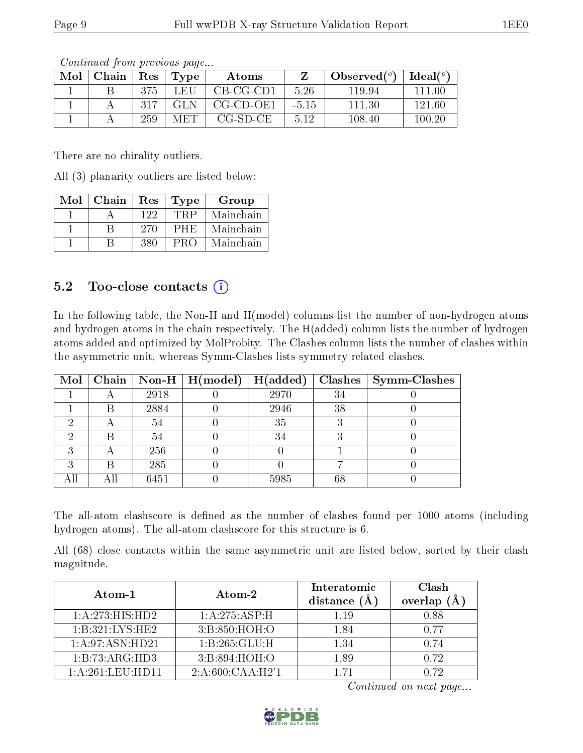| Mol | Chain | $\operatorname{Res}$ | $\Gamma$ Type | Atoms               |         | $\lambda$ Observed $(^\circ)$ | $Ideal(^o)$ |
|-----|-------|----------------------|---------------|---------------------|---------|-------------------------------|-------------|
|     |       | 375                  | LEU           | $CB-CG-CD1$         | 5.26    | 119.94                        | 111 00      |
|     |       | 317                  | GLN.          | $CG$ - $CD$ - $OE1$ | $-5.15$ | 111.30                        | 121.60      |
|     |       | 259                  | <b>MET</b>    | CG-SD-CE            | 5.12    | 108.40                        | 100.20      |

There are no chirality outliers.

All (3) planarity outliers are listed below:

| Mol | Chain | Res | Type  | Group     |
|-----|-------|-----|-------|-----------|
|     |       | 122 | ∸FRP. | Mainchain |
|     |       | 270 | PHE   | Mainchain |
|     |       | 380 | PRO   | Mainchain |

### 5.2 Too-close contacts  $(i)$

In the following table, the Non-H and H(model) columns list the number of non-hydrogen atoms and hydrogen atoms in the chain respectively. The H(added) column lists the number of hydrogen atoms added and optimized by MolProbity. The Clashes column lists the number of clashes within the asymmetric unit, whereas Symm-Clashes lists symmetry related clashes.

|   |      | Mol   Chain   Non-H   $H (model)$   $H (added)$ |      |    | $Class \mid Symm\text{-}\mathrm{Class}$ |
|---|------|-------------------------------------------------|------|----|-----------------------------------------|
|   | 2918 |                                                 | 2970 | 34 |                                         |
| В | 2884 |                                                 | 2946 | 38 |                                         |
|   | 54   |                                                 | 35   |    |                                         |
| R | 54   |                                                 | 34   |    |                                         |
|   | 256  |                                                 |      |    |                                         |
| R | 285  |                                                 |      |    |                                         |
|   | 6451 |                                                 | 5985 | 68 |                                         |

The all-atom clashscore is defined as the number of clashes found per 1000 atoms (including hydrogen atoms). The all-atom clashscore for this structure is 6.

All (68) close contacts within the same asymmetric unit are listed below, sorted by their clash magnitude.

| Atom-1              | Atom-2            | Interatomic<br>distance $(A)$ | Clash<br>overlap (Å |
|---------------------|-------------------|-------------------------------|---------------------|
| 1:A:273:HIS:HD2     | 1:A:275:ASP:H     | 1.19                          | 0.88                |
| 1:B:321:LYS:HE2     | 3: B:850:HOH:O    | 1.84                          | በ 77                |
| 1: A:97: ASN:HD21   | 1: B: 265: GLU: H | 1.34                          | 0.74                |
| 1:B:73:ARG:HD3      | 3: B:894: HOH:O   | 1.89                          | 0.72                |
| $1:$ A:261:LEU:HD11 | 2:A:600:CAA:H2'1  | 1 71                          | 0.72                |

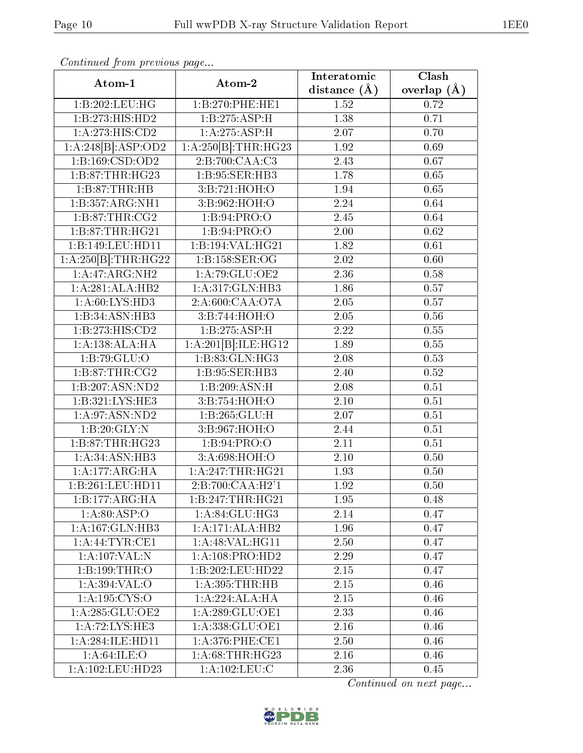| Atom-1                       | Atom-2                        | Interatomic       | $Clas\overline{h}$ |
|------------------------------|-------------------------------|-------------------|--------------------|
|                              |                               | distance $(A)$    | overlap $(A)$      |
| 1:B:202:LEU:HG               | 1:B:270:PHE:HE1               | 1.52              | 0.72               |
| 1:B:273:HIS:HD2              | 1:B:275:ASP:H                 | 1.38              | 0.71               |
| $1:A:273:\overline{HIS:CD2}$ | 1:A:275:ASP:H                 | 2.07              | 0.70               |
| 1:A:248[B]:ASP:OD2           | 1:A:250[B]:THR:HG23           | 1.92              | 0.69               |
| 1:B:169:CSD:OD2              | 2:B:700:CAA:C3                | 2.43              | 0.67               |
| 1: B:87:THR:HG23             | 1:B:95:SER:HB3                | 1.78              | 0.65               |
| 1:B:87:THR:HB                | 3:B:721:HOH:O                 | 1.94              | 0.65               |
| 1:B:357:ARG:NH1              | 3:B:962:HOH:O                 | 2.24              | 0.64               |
| 1:B:87:THR:CG2               | 1: B:94: PRO:O                | 2.45              | 0.64               |
| 1:B:87:THR:HG21              | 1:B:94:PRO:O                  | 2.00              | 0.62               |
| 1:B:149:LEU:HD11             | 1:B:194:VAL:HG21              | 1.82              | 0.61               |
| 1:A:250[B]:THR:HG22          | 1:B:158:SER:OG                | 2.02              | 0.60               |
| $1:A:47:ARG:N\overline{H2}$  | 1:A:79:GLU:OE2                | 2.36              | 0.58               |
| 1:A:281:ALA:HB2              | 1: A:317: GLN:HB3             | 1.86              | 0.57               |
| 1:A:60:LYS:HD3               | 2:A:600:CAA:O7A               | 2.05              | 0.57               |
| 1:B:34:ASN:HB3               | 3:B:744:HOH:O                 | 2.05              | 0.56               |
| 1:B:273:HIS:CD2              | 1:B:275:ASP:H                 | 2.22              | 0.55               |
| 1:A:138:ALA:HA               | 1:A:201[B]:ILE:HG12           | 1.89              | 0.55               |
| 1:B:79:GLU:O                 | 1: B: 83: GLN: HG3            | 2.08              | 0.53               |
| 1:B:87:THR:CG2               | 1:B:95:SER:HB3                | 2.40              | 0.52               |
| 1:B:207:ASN:ND2              | 1:B:209:ASN:H                 | 2.08              | 0.51               |
| 1:B:321:LYS:HE3              | 3:B:754:HOH:O                 | 2.10              | 0.51               |
| 1: A:97: ASN:ND2             | 1:B:265:GLU:H                 | 2.07              | 0.51               |
| 1:B:20:GLY:N                 | 3:B:967:HOH:O                 | 2.44              | 0.51               |
| 1:B:87:THR:HG23              | 1:B:94:PRO:O                  | 2.11              | 0.51               |
| 1: A:34: ASN:HB3             | 3:A:698:HOH:O                 | 2.10              | 0.50               |
| 1:A:177:ARG:HA               | 1:A:247:THR:HG21              | 1.93              | 0.50               |
| 1:B:261:LEU:HD11             | $2:B:700:CA\overline{A:H2'1}$ | 1.92              | 0.50               |
| 1:B:177:ARG:HA               | 1:B:247:THR:HG21              | 1.95              | 0.48               |
| 1: A:80: ASP:O               | 1: A:84: GLU:HG3              | 2.14              | 0.47               |
| 1:A:167:GLN:HB3              | 1:A:171:ALA:HB2               | 1.96              | 0.47               |
| 1: A:44:TYR:CE1              | 1: A:48: VAL:HGI1             | 2.50              | 0.47               |
| 1:A:107:VAL:N                | 1:A:108:PRO:HD2               | 2.29              | 0.47               |
| 1:B:199:THR:O                | 1:B:202:LEU:HD22              | 2.15              | 0.47               |
| 1: A:394: VAL:O              | 1: A:395:THR:HB               | 2.15              | 0.46               |
| 1: A: 195: CYS:O             | 1:A:224:ALA:HA                | 2.15              | 0.46               |
| 1: A:285: GLU:OE2            | 1: A:289: GLU:OE1             | 2.33              | 0.46               |
| 1: A:72: LYS: HE3            | 1:A:338:GLU:OE1               | 2.16              | 0.46               |
| 1: A:284: ILE: HD11          | 1: A:376: PHE:CE1             | 2.50              | 0.46               |
| 1: A:64:ILE:O                | 1: A:68:THR:HG23              | $\overline{2}.16$ | 0.46               |
| 1:A:102:LEU:HD23             | 1: A: 102: LEU: C             | 2.36              | 0.45               |

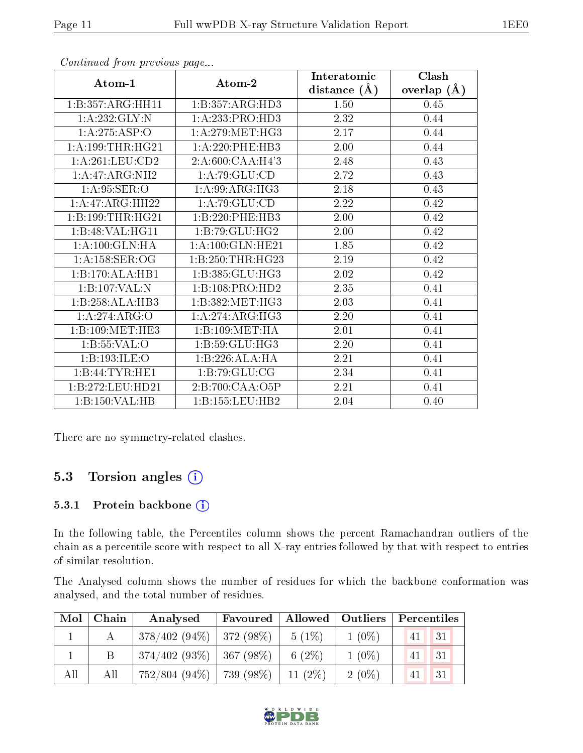| Atom-1                       | Atom-2              | Interatomic    | Clash         |
|------------------------------|---------------------|----------------|---------------|
|                              |                     | distance $(A)$ | overlap $(A)$ |
| 1:B:357:ARG:HH11             | 1:B:357:ARG:HD3     | 1.50           | 0.45          |
| 1:A:232:GLY:N                | 1:A:233:PRO:HD3     | 2.32           | 0.44          |
| 1:A:275:ASP:O                | 1: A:279:MET:HG3    | 2.17           | 0.44          |
| 1: A:199:THR:HG21            | 1:A:220:PHE:HB3     | $2.00\,$       | 0.44          |
| 1: A:261:LEU:CD2             | 2:A:600:CAA:H4'3    | 2.48           | 0.43          |
| 1:A:47:ARG:NH2               | 1: A:79: GLU:CD     | 2.72           | 0.43          |
| 1: A:95: SER:O               | 1: A:99: ARG: HG3   | 2.18           | 0.43          |
| $1:A:47:ARG:\overline{HH22}$ | 1: A:79: GLU:CD     | 2.22           | 0.42          |
| 1:B:199:THR:HG21             | 1:B:220:PHE:HB3     | 2.00           | 0.42          |
| 1:B:48:VAL:HG11              | 1: B:79: GLU: HG2   | 2.00           | 0.42          |
| 1: A: 100: GLN: HA           | 1:A:100:GLN:HE21    | 1.85           | 0.42          |
| 1: A: 158: SER: OG           | 1:B:250:THR:HG23    | 2.19           | 0.42          |
| 1:B:170:ALA:HB1              | 1:B:385:GLU:HG3     | 2.02           | 0.42          |
| 1:B:107:VAL:N                | 1:B:108:PRO:HD2     | 2.35           | 0.41          |
| 1:B:258:ALA:HB3              | 1:B:382:MET:HG3     | 2.03           | 0.41          |
| 1:A:274:ARG:O                | 1: A:274: ARG:HG3   | 2.20           | 0.41          |
| 1:B:109:MET:HE3              | 1:B:109:MET:HA      | 2.01           | 0.41          |
| 1:B:55:VAL:O                 | 1:B:59:GLU:HG3      | $2.20\,$       | 0.41          |
| 1:B:193:ILE:O                | 1:B:226:ALA:HA      | 2.21           | 0.41          |
| 1:B:44:TYR:HE1               | 1:B:79:GLU:CG       | 2.34           | 0.41          |
| 1:B:272:LEU:HD21             | 2:B:700:CAA:O5P     | 2.21           | 0.41          |
| 1:B:150:VAL:HB               | 1: B: 155: LEU: HB2 | 2.04           | 0.40          |

There are no symmetry-related clashes.

### 5.3 Torsion angles (i)

#### 5.3.1 Protein backbone (i)

In the following table, the Percentiles column shows the percent Ramachandran outliers of the chain as a percentile score with respect to all X-ray entries followed by that with respect to entries of similar resolution.

The Analysed column shows the number of residues for which the backbone conformation was analysed, and the total number of residues.

| Mol | Chain | Analysed                      | Favoured   | Allowed   Outliers |          | Percentiles |    |
|-----|-------|-------------------------------|------------|--------------------|----------|-------------|----|
|     |       | $378/402(94\%)$   372 (98\%)  |            | $5(1\%)$           | $1(0\%)$ | 41          | 31 |
|     | В     | $374/402$ (93\%)   367 (98\%) |            | 6 $(2\%)$          | $1(0\%)$ |             | 31 |
| All | All   | $752/804(94\%)$               | 739 (98%). | 11 $(2\%)$         | $2(0\%)$ |             | 31 |

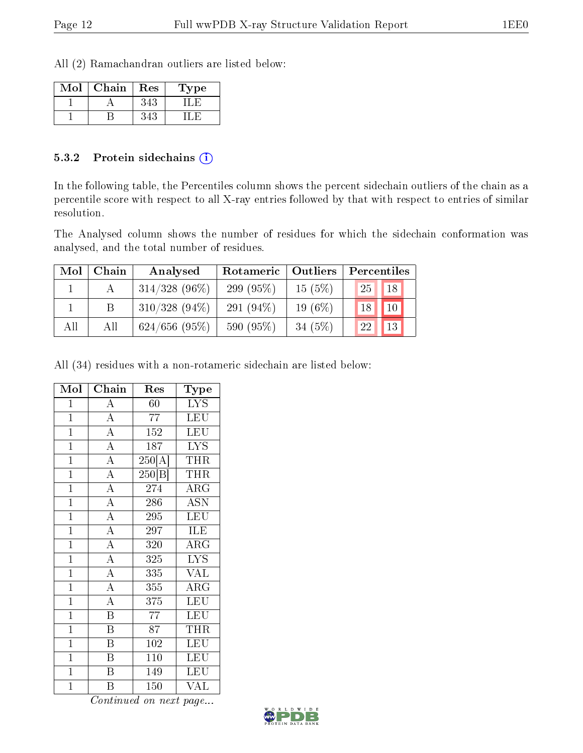All (2) Ramachandran outliers are listed below:

| Mol | Chain | Res | Type |
|-----|-------|-----|------|
|     |       |     |      |
|     |       |     |      |

#### 5.3.2 Protein sidechains  $\left( \widehat{\mathbf{i}} \right)$

In the following table, the Percentiles column shows the percent sidechain outliers of the chain as a percentile score with respect to all X-ray entries followed by that with respect to entries of similar resolution.

The Analysed column shows the number of residues for which the sidechain conformation was analysed, and the total number of residues.

| Mol | Chain | Analysed        | Rotameric    | $\vert$ Outliers | Percentiles     |                 |
|-----|-------|-----------------|--------------|------------------|-----------------|-----------------|
|     |       | $314/328$ (96%) | 299 (95%)    | 15(5%)           | 25 <sup>1</sup> | 18              |
|     |       | $310/328(94\%)$ | 291 $(94\%)$ | 19 $(6\%)$       | 18              | 10              |
| All | All   | $624/656$ (95%) | 590 (95%)    | 34 $(5%)$        | 22              | 13 <sup>1</sup> |

All (34) residues with a non-rotameric sidechain are listed below:

| Mol            | $\overline{\text{Chain}}$ | Res                        | Type                    |
|----------------|---------------------------|----------------------------|-------------------------|
| $\mathbf{1}$   | $\overline{A}$            | 60                         | $\overline{L}YS$        |
| $\overline{1}$ | $\overline{A}$            | 77                         | LEU                     |
| $\overline{1}$ | $\overline{A}$            | 152                        | LEU                     |
| $\overline{1}$ | $\overline{A}$            | 187                        | <b>LYS</b>              |
| $\overline{1}$ | $\overline{A}$            | $\overline{250}[\text{A}]$ | THR                     |
| $\overline{1}$ | $\overline{A}$            | 250 B                      | THR                     |
| $\overline{1}$ | $\overline{A}$            | 274                        | ARG                     |
| $\overline{1}$ | $\overline{A}$            | 286                        | <b>ASN</b>              |
| $\overline{1}$ | $\overline{A}$            | 295                        | <b>LEU</b>              |
| $\overline{1}$ | $\overline{A}$            | $\overline{297}$           | $\overline{\text{ILE}}$ |
| $\overline{1}$ | $\overline{A}$            | 320                        | $\rm{ARG}$              |
| $\overline{1}$ | $\overline{A}$            | 325                        | <b>LYS</b>              |
| $\overline{1}$ | $\overline{A}$            | $\overline{335}$           | <b>VAL</b>              |
| $\overline{1}$ | $\overline{A}$            | 355                        | $\rm{ARG}$              |
| $\overline{1}$ | $\overline{A}$            | 375                        | <b>LEU</b>              |
| $\overline{1}$ | $\overline{\mathrm{B}}$   | $\overline{77}$            | LEU                     |
| $\overline{1}$ | $\overline{\mathrm{B}}$   | $\overline{87}$            | THR                     |
| $\mathbf{1}$   | $\boldsymbol{B}$          | 102                        | <b>LEU</b>              |
| $\overline{1}$ | $\overline{\mathrm{B}}$   | 110                        | LEU                     |
| $\overline{1}$ | $\overline{\mathrm{B}}$   | 149                        | <b>LEU</b>              |
| $\mathbf 1$    | B                         | 150                        | <b>VAL</b>              |

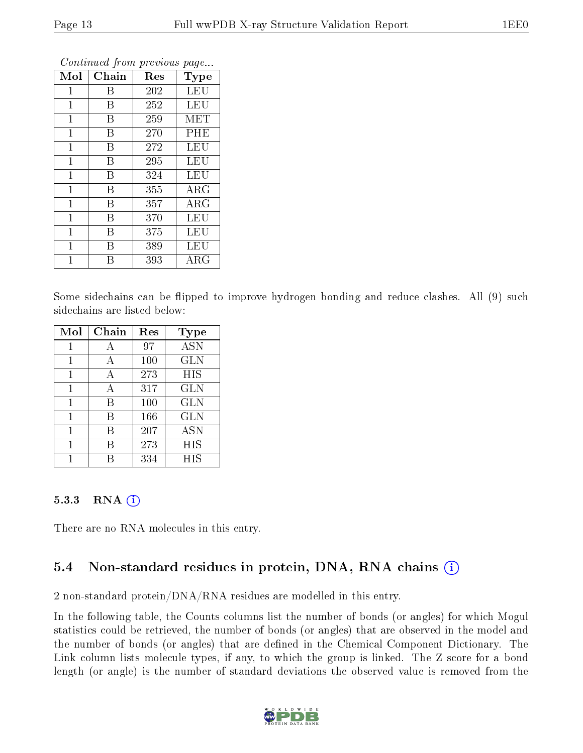|                |       |     | ×.<br>ັ     |
|----------------|-------|-----|-------------|
| Mol            | Chain | Res | Type        |
| 1              | В     | 202 | LEU         |
| 1              | Β     | 252 | LEU         |
| $\mathbf 1$    | Β     | 259 | MET         |
| 1              | B     | 270 | PHE         |
| $\mathbf 1$    | Β     | 272 | LEU         |
| $\overline{1}$ | B     | 295 | LEU         |
| $\mathbf{1}$   | Β     | 324 | LEU         |
| 1              | B     | 355 | $\rm{ARG}$  |
| $\mathbf{1}$   | В     | 357 | <b>ARG</b>  |
| $\mathbf{1}$   | B     | 370 | LEU         |
| $\mathbf{1}$   | В     | 375 | LEU         |
| $\overline{1}$ | В     | 389 | LEU         |
| 1              | В     | 393 | ${\rm ARG}$ |

Some sidechains can be flipped to improve hydrogen bonding and reduce clashes. All (9) such sidechains are listed below:

| Mol | Chain | Res | Type       |
|-----|-------|-----|------------|
| 1   | А     | 97  | <b>ASN</b> |
| 1   | А     | 100 | <b>GLN</b> |
| 1   | А     | 273 | HIS        |
| 1   | А     | 317 | GLN        |
| 1   | В     | 100 | <b>GLN</b> |
| 1   | B     | 166 | <b>GLN</b> |
| 1   | В     | 207 | <b>ASN</b> |
|     | R     | 273 | HIS        |
|     |       | 334 | HIS        |

#### 5.3.3 RNA (1)

There are no RNA molecules in this entry.

#### 5.4 Non-standard residues in protein, DNA, RNA chains (i)

2 non-standard protein/DNA/RNA residues are modelled in this entry.

In the following table, the Counts columns list the number of bonds (or angles) for which Mogul statistics could be retrieved, the number of bonds (or angles) that are observed in the model and the number of bonds (or angles) that are defined in the Chemical Component Dictionary. The Link column lists molecule types, if any, to which the group is linked. The Z score for a bond length (or angle) is the number of standard deviations the observed value is removed from the

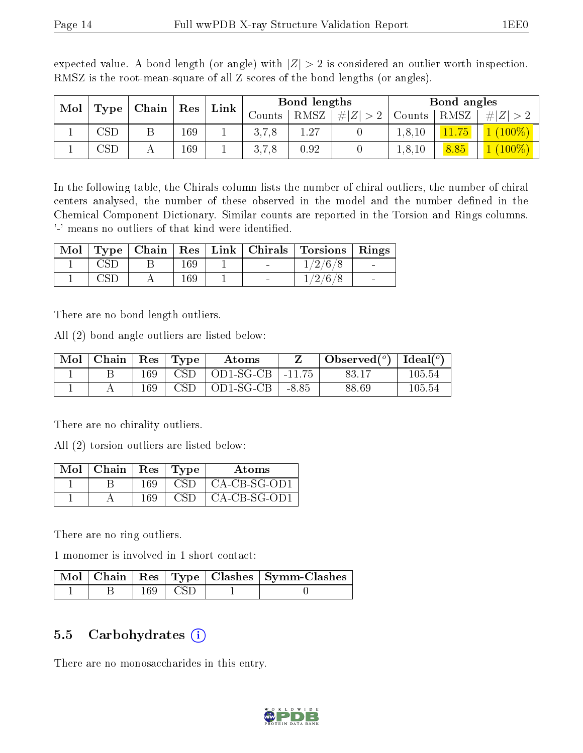| Mol |                         | Chain | $\operatorname{Res}% \left( \mathcal{N}\right) \equiv\operatorname*{Res}\left( \mathcal{N}\right)$ | Link | Bond lengths  |             |     | Bond angles |      |           |
|-----|-------------------------|-------|----------------------------------------------------------------------------------------------------|------|---------------|-------------|-----|-------------|------|-----------|
|     | Type                    |       |                                                                                                    |      | $\frac{1}{2}$ | <b>RMSZ</b> | # Z | Counts      | RMSZ | Z         |
|     | $\mathbb{C}\mathrm{SD}$ |       | 169                                                                                                |      | 3.7.8         | 1.27        |     | 1, 8, 10    | H    | $(100\%)$ |
|     | USD                     |       | 169                                                                                                |      | 3,7,8         | 0.92        |     | 1, 8, 10    | 8.85 | $(100\%)$ |

expected value. A bond length (or angle) with  $|Z| > 2$  is considered an outlier worth inspection. RMSZ is the root-mean-square of all Z scores of the bond lengths (or angles).

In the following table, the Chirals column lists the number of chiral outliers, the number of chiral centers analysed, the number of these observed in the model and the number defined in the Chemical Component Dictionary. Similar counts are reported in the Torsion and Rings columns. '-' means no outliers of that kind were identified.

|  |     | Mol   Type   Chain   Res   Link   Chirals | Torsions   Rings |                 |
|--|-----|-------------------------------------------|------------------|-----------------|
|  | 169 | $\blacksquare$                            | 1/2/6/8          | $\sim$          |
|  | 169 | $\overline{\phantom{a}}$                  | 1/2/6/8          | $\qquad \qquad$ |

There are no bond length outliers.

All (2) bond angle outliers are listed below:

| $\bf{Mol}$ | $\mid$ Chain $\mid$ Res $\mid$ |     | $\Gamma$ Type | Atoms     |          | Observed $(^\circ)$ | Ideal $(^\circ)$ |
|------------|--------------------------------|-----|---------------|-----------|----------|---------------------|------------------|
|            |                                | 169 | CSD.          | OD1-SG-CB | $-11.75$ | 83.17               | $105.54\,$       |
|            |                                | 169 | <b>CSD</b>    | OD1-SG-CB | $-8.85$  | 88.69               | $105.54\,$       |

There are no chirality outliers.

All (2) torsion outliers are listed below:

| Mol | $\vert$ Chain $\vert$ Res $\vert$ Type |     |     | Atoms          |
|-----|----------------------------------------|-----|-----|----------------|
|     |                                        | 169 | CSD | CA-CB-SG-OD1   |
|     |                                        | 169 | CSD | $CA-CB-SG-OD1$ |

There are no ring outliers.

1 monomer is involved in 1 short contact:

|  |                        | Mol   Chain   Res   Type   Clashes   Symm-Clashes |
|--|------------------------|---------------------------------------------------|
|  | $169 \perp \text{CSD}$ |                                                   |

#### 5.5 Carbohydrates  $(i)$

There are no monosaccharides in this entry.

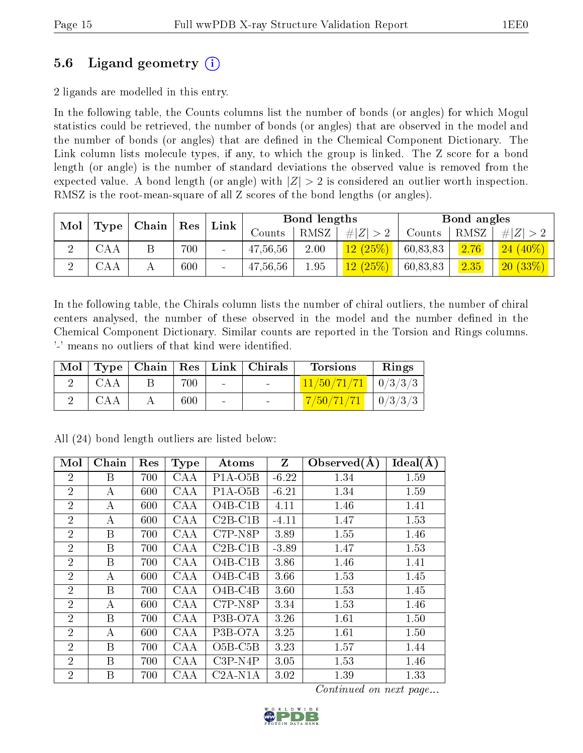### 5.6 Ligand geometry (i)

2 ligands are modelled in this entry.

In the following table, the Counts columns list the number of bonds (or angles) for which Mogul statistics could be retrieved, the number of bonds (or angles) that are observed in the model and the number of bonds (or angles) that are dened in the Chemical Component Dictionary. The Link column lists molecule types, if any, to which the group is linked. The Z score for a bond length (or angle) is the number of standard deviations the observed value is removed from the expected value. A bond length (or angle) with  $|Z| > 2$  is considered an outlier worth inspection. RMSZ is the root-mean-square of all Z scores of the bond lengths (or angles).

| Mol      |      |  |     |                 |          |      |         |          |      | Chain      | Res | Link |  | Bond lengths |  |  | Bond angles |  |
|----------|------|--|-----|-----------------|----------|------|---------|----------|------|------------|-----|------|--|--------------|--|--|-------------|--|
|          | Type |  |     |                 | Counts   | RMSZ | $\# Z $ | Counts   | RMSZ | Z          |     |      |  |              |  |  |             |  |
| $\Omega$ | CAA  |  | 700 | $\sim$          | 47,56,56 | 2.00 | 12(25%) | 60,83,83 | 2.76 | $24(40\%)$ |     |      |  |              |  |  |             |  |
| ച        | CAA  |  | 600 | $\qquad \qquad$ | 47,56,56 | 1.95 | 12(25%) | 60,83,83 | 2.35 | (20 (33%)  |     |      |  |              |  |  |             |  |

In the following table, the Chirals column lists the number of chiral outliers, the number of chiral centers analysed, the number of these observed in the model and the number defined in the Chemical Component Dictionary. Similar counts are reported in the Torsion and Rings columns. '-' means no outliers of that kind were identified.

|            |     |                | Mol   Type   Chain   Res   Link   Chirals | <b>Torsions</b>         | Rings   |
|------------|-----|----------------|-------------------------------------------|-------------------------|---------|
| - CAA      | 700 |                |                                           | $11/50/71/71$   0/3/3/3 |         |
| <b>CAA</b> | 600 | $\blacksquare$ | $\sim$                                    | 7/50/71/71              | 0/3/3/3 |

| Mol            | Chain            | Res | <b>Type</b> | Atoms                             | Z       | Observed $(A)$ | $Ideal(\AA)$ |
|----------------|------------------|-----|-------------|-----------------------------------|---------|----------------|--------------|
| $\overline{2}$ | B                | 700 | CAA         | $P1A-O5B$                         | $-6.22$ | 1.34           | 1.59         |
| $\overline{2}$ | А                | 600 | <b>CAA</b>  | $P1A-O5B$                         | $-6.21$ | 1.34           | 1.59         |
| $\overline{2}$ | А                | 600 | <b>CAA</b>  | $O4B-C1B$                         | 4.11    | 1.46           | 1.41         |
| $\overline{2}$ | А                | 600 | <b>CAA</b>  | $C2B-C1B$                         | $-4.11$ | 1.47           | 1.53         |
| $\overline{2}$ | B                | 700 | CAA         | $C7P-NSP$                         | 3.89    | 1.55           | 1.46         |
| $\overline{2}$ | B                | 700 | CAA         | $C2B-C1B$                         | $-3.89$ | 1.47           | 1.53         |
| $\overline{2}$ | B                | 700 | CAA         | $O4B-C1B$                         | 3.86    | 1.46           | 1.41         |
| $\overline{2}$ | А                | 600 | <b>CAA</b>  | $O4B-C4B$                         | 3.66    | 1.53           | 1.45         |
| $\overline{2}$ | $\boldsymbol{B}$ | 700 | CAA         | $O4B-C4B$                         | 3.60    | 1.53           | 1.45         |
| $\overline{2}$ | А                | 600 | CAA         | $C7P-NSP$                         | 3.34    | 1.53           | 1.46         |
| $\overline{2}$ | B                | 700 | <b>CAA</b>  | P <sub>3</sub> B-O <sub>7</sub> A | 3.26    | 1.61           | 1.50         |
| $\overline{2}$ | А                | 600 | <b>CAA</b>  | P <sub>3</sub> B-O <sub>7</sub> A | 3.25    | 1.61           | 1.50         |
| $\overline{2}$ | B                | 700 | <b>CAA</b>  | $O5B-C5B$                         | 3.23    | 1.57           | 1.44         |
| $\overline{2}$ | $\boldsymbol{B}$ | 700 | CAA         | $C3P- N4P$                        | 3.05    | 1.53           | 1.46         |
| $\overline{2}$ | B                | 700 | CAA         | $C2A-N1A$                         | 3.02    | 1.39           | 1.33         |

All (24) bond length outliers are listed below:

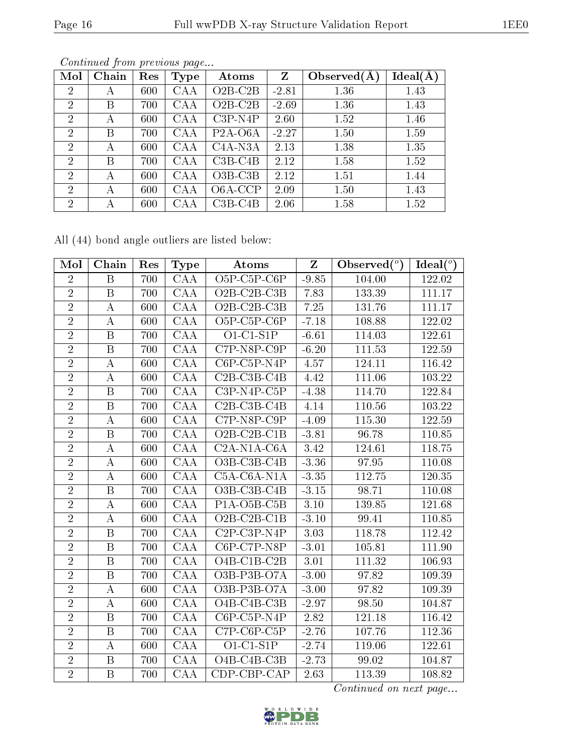| Mol            | Chain | Res | <b>Type</b> | Atoms                             | $\mathbf{Z}$ | Observed $(A$ | Ideal(A) |
|----------------|-------|-----|-------------|-----------------------------------|--------------|---------------|----------|
| $\overline{2}$ | А     | 600 | CAA         | $O2B-C2B$                         | $-2.81$      | 1.36          | 1.43     |
| $\overline{2}$ | Β     | 700 | CAA         | $O2B-C2B$                         | $-2.69$      | 1.36          | 1.43     |
| $\overline{2}$ | А     | 600 | <b>CAA</b>  | $C3P-N4P$                         | 2.60         | 1.52          | 1.46     |
| $\overline{2}$ | Β     | 700 | CAA         | $P2A-06A$                         | $-2.27$      | 1.50          | 1.59     |
| $\overline{2}$ | А     | 600 | <b>CAA</b>  | C <sub>4</sub> A-N <sub>3</sub> A | 2.13         | 1.38          | 1.35     |
| $\overline{2}$ | Β     | 700 | CAA         | $C3B-C4B$                         | 2.12         | 1.58          | 1.52     |
| 2              | А     | 600 | CAA         | $O3B-C3B$                         | 2.12         | 1.51          | 1.44     |
| $\overline{2}$ | А     | 600 | <b>CAA</b>  | O6A-CCP                           | 2.09         | 1.50          | 1.43     |
| $\overline{2}$ | А     | 600 | CAA         | $C3B-C4B$                         | 2.06         | 1.58          | 1.52     |

All (44) bond angle outliers are listed below:

| Mol            | Chain            | Res | <b>Type</b>  | $\boldsymbol{\mathrm{Atoms}}$                      | $Z_{\parallel}$ | Observed $(°)$ | Ideal $\binom{o}{c}$ |
|----------------|------------------|-----|--------------|----------------------------------------------------|-----------------|----------------|----------------------|
| $\overline{2}$ | B                | 700 | <b>CAA</b>   | O <sub>5</sub> P-C <sub>5</sub> P-C <sub>6</sub> P | $-9.85$         | 104.00         | 122.02               |
| $\overline{2}$ | $\boldsymbol{B}$ | 700 | CAA          | $O2B-C2B-C3B$                                      | 7.83            | 133.39         | 111.17               |
| $\sqrt{2}$     | $\boldsymbol{A}$ | 600 | CAA          | $O2B-C2B-C3B$                                      | 7.25            | 131.76         | 111.17               |
| $\overline{2}$ | A                | 600 | CAA          | $O5P-C5P-C6P$                                      | $-7.18$         | 108.88         | 122.02               |
| $\sqrt{2}$     | B                | 700 | CAA          | $O1-C1-S1P$                                        | $-6.61$         | 114.03         | 122.61               |
| $\overline{2}$ | B                | 700 | CAA          | $C7P-NSP-C9P$                                      | $-6.20$         | 111.53         | 122.59               |
| $\sqrt{2}$     | $\boldsymbol{A}$ | 600 | CAA          | $C6P$ - $C5P$ - $N4P$                              | 4.57            | 124.11         | 116.42               |
| $\overline{2}$ | A                | 600 | CAA          | $C2B-C3B-C4B$                                      | 4.42            | 111.06         | 103.22               |
| $\overline{2}$ | B                | 700 | $\text{CAA}$ | C3P-N4P-C5P                                        | $-4.38$         | 114.70         | 122.84               |
| $\overline{2}$ | B                | 700 | CAA          | $C2B$ -C <sub>3</sub> B-C <sub>4</sub> B           | 4.14            | 110.56         | 103.22               |
| $\overline{2}$ | $\bf{A}$         | 600 | $\text{CAA}$ | $C7P-NSP-C9P$                                      | $-4.09$         | 115.30         | 122.59               |
| $\overline{2}$ | B                | 700 | $\text{CAA}$ | $O2B-C2B-C1B$                                      | $-3.81$         | 96.78          | 110.85               |
| $\sqrt{2}$     | $\boldsymbol{A}$ | 600 | CAA          | C <sub>2</sub> A-N <sub>1</sub> A-C <sub>6</sub> A | 3.42            | 124.61         | 118.75               |
| $\overline{2}$ | $\boldsymbol{A}$ | 600 | CAA          | $O3B$ -C <sub>3</sub> B-C <sub>4</sub> B           | $-3.36$         | 97.95          | 110.08               |
| $\overline{2}$ | $\bf{A}$         | 600 | CAA          | C5A-C6A-N1A                                        | $-3.35$         | 112.75         | 120.35               |
| $\overline{2}$ | B                | 700 | CAA          | O3B-C3B-C4B                                        | $-3.15$         | 98.71          | 110.08               |
| $\overline{2}$ | A                | 600 | $\text{CAA}$ | P <sub>1</sub> A-O <sub>5</sub> B-C <sub>5</sub> B | 3.10            | 139.85         | 121.68               |
| $\overline{2}$ | $\boldsymbol{A}$ | 600 | CAA          | $O2B-C2B-C1B$                                      | $-3.10$         | 99.41          | 110.85               |
| $\overline{2}$ | B                | 700 | CAA          | $C2P-C3P-N4P$                                      | 3.03            | 118.78         | 112.42               |
| $\overline{2}$ | B                | 700 | CAA          | $C6P-CTP-NSP$                                      | $-3.01$         | 105.81         | 111.90               |
| $\overline{2}$ | $\, {\bf B}$     | 700 | $\text{CAA}$ | O4B-C1B-C2B                                        | 3.01            | 111.32         | 106.93               |
| $\sqrt{2}$     | B                | 700 | CAA          | O3B-P3B-O7A                                        | $-3.00$         | 97.82          | 109.39               |
| $\overline{2}$ | $\bf{A}$         | 600 | $\text{CAA}$ | O3B-P3B-O7A                                        | $-3.00$         | 97.82          | 109.39               |
| $\sqrt{2}$     | A                | 600 | CAA          | O4B-C4B-C3B                                        | $-2.97$         | 98.50          | 104.87               |
| $\overline{2}$ | B                | 700 | CAA          | $C6P-C5P-N4P$                                      | 2.82            | 121.18         | 116.42               |
| $\overline{2}$ | $\, {\bf B}$     | 700 | $\text{CAA}$ | $C7P-C6P-C5P$                                      | $-2.76$         | 107.76         | 112.36               |
| $\overline{2}$ | A                | 600 | <b>CAA</b>   | $O1-C1-S1P$                                        | $-2.74$         | 119.06         | 122.61               |
| $\sqrt{2}$     | $\boldsymbol{B}$ | 700 | <b>CAA</b>   | $O4B-C4B-C3B$                                      | $-2.73$         | 99.02          | 104.87               |
| $\overline{2}$ | B                | 700 | CAA          | CDP-CBP-CAP                                        | 2.63            | 113.39         | 108.82               |

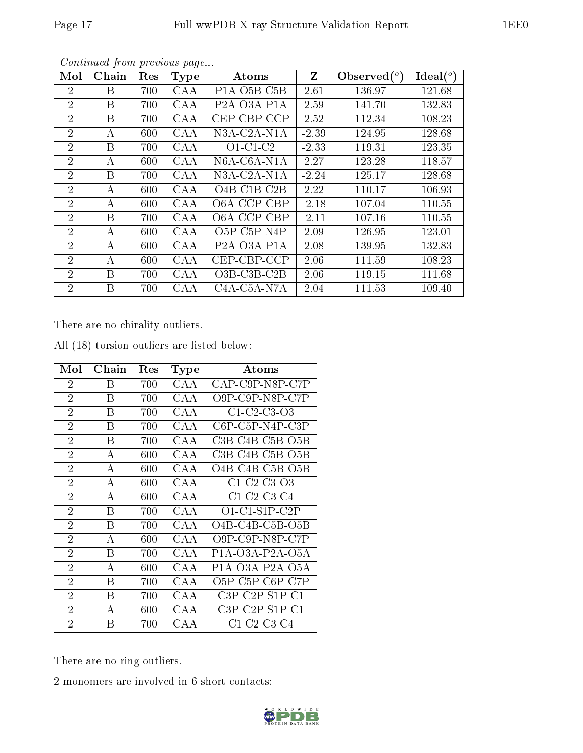| Mol            | Chain | Res | <b>Type</b> | $\rm{Atoms}$                                       | $\mathbf{Z}$ | Observed $(°)$ | Ideal $(^\circ)$ |
|----------------|-------|-----|-------------|----------------------------------------------------|--------------|----------------|------------------|
| $\overline{2}$ | B     | 700 | CAA         | $P1A-O5B-C5B$                                      | 2.61         | 136.97         | 121.68           |
| $\overline{2}$ | B     | 700 | CAA         | P <sub>2</sub> A-O <sub>3</sub> A-P <sub>1</sub> A | 2.59         | 141.70         | 132.83           |
| $\overline{2}$ | B     | 700 | CAA         | CEP-CBP-CCP                                        | 2.52         | 112.34         | 108.23           |
| $\overline{2}$ | А     | 600 | CAA         | $N3A$ -C <sub>2</sub> A-N <sub>1</sub> A           | $-2.39$      | 124.95         | 128.68           |
| $\overline{2}$ | B     | 700 | CAA         | $O1-C1-C2$                                         | $-2.33$      | 119.31         | 123.35           |
| $\overline{2}$ | А     | 600 | CAA         | N6A-C6A-N1A                                        | 2.27         | 123.28         | 118.57           |
| $\overline{2}$ | B     | 700 | CAA         | $N3A$ -C <sub>2</sub> A-N <sub>1</sub> A           | $-2.24$      | 125.17         | 128.68           |
| $\overline{2}$ | A     | 600 | CAA         | $O4B$ -C1B-C2B                                     | 2.22         | 110.17         | 106.93           |
| $\overline{2}$ | А     | 600 | CAA         | O6A-CCP-CBP                                        | $-2.18$      | 107.04         | 110.55           |
| $\overline{2}$ | B     | 700 | CAA         | O6A-CCP-CBP                                        | $-2.11$      | 107.16         | 110.55           |
| $\overline{2}$ | A     | 600 | CAA         | $O5P$ -C5P-N4P                                     | 2.09         | 126.95         | 123.01           |
| $\overline{2}$ | А     | 600 | CAA         | $P2A-O3A- P1A$                                     | 2.08         | 139.95         | 132.83           |
| $\overline{2}$ | А     | 600 | CAA         | CEP-CBP-CCP                                        | 2.06         | 111.59         | 108.23           |
| $\overline{2}$ | B     | 700 | CAA         | $O3B$ -C3B-C2B                                     | 2.06         | 119.15         | 111.68           |
| $\overline{2}$ | B     | 700 | CAA         | C <sub>4</sub> A-C <sub>5</sub> A-N <sub>7</sub> A | 2.04         | 111.53         | 109.40           |

There are no chirality outliers.

| Mol            | Chain | Res | <b>Type</b> | Atoms                         |
|----------------|-------|-----|-------------|-------------------------------|
| $\overline{2}$ | В     | 700 | CAA         | $CAP$ -C9P-N8P-C7P            |
| $\overline{2}$ | В     | 700 | CAA         | O9P-C9P-N8P-C7P               |
| $\overline{2}$ | В     | 700 | CAA         | $C1-C2-C3-O3$                 |
| $\overline{2}$ | В     | 700 | CAA         | $C6P-C5P-N4P-C3P$             |
| $\overline{2}$ | В     | 700 | CAA         | $C3B-C4B-C5B-O5B$             |
| $\overline{2}$ | A     | 600 | CAA         | $C3B-C4B-C5B-O5B$             |
| $\overline{2}$ | А     | 600 | CAA         | $O4B-C4B-C5B-O5B$             |
| $\overline{2}$ | A     | 600 | CAA         | $C1-C2-C3-O3$                 |
| $\overline{2}$ | А     | 600 | CAA         | $C1-C2-C3-C4$                 |
| $\overline{2}$ | Β     | 700 | CAA         | $O1$ -C1-S1P-C2P              |
| $\overline{2}$ | В     | 700 | CAA         | $O4B-C4B-C5B-O5B$             |
| $\overline{2}$ | А     | 600 | CAA         | $O9P$ - $C9P$ - $N8P$ - $C7P$ |
| $\overline{2}$ | В     | 700 | CAA         | $P1A-O3A-P2A-O5A$             |
| $\overline{2}$ | А     | 600 | CAA         | $P1A-O3A-P2A-O5A$             |
| $\overline{2}$ | В     | 700 | CAA         | O5P-C5P-C6P-C7P               |
| $\overline{2}$ | В     | 700 | CAA         | $C3P-C2P-S1P-C1$              |
| $\overline{2}$ | А     | 600 | CAA         | $C3P-C2P-S1P-C1$              |
| $\overline{2}$ | R     | 700 | CAA         | $C1-C2-C3-C4$                 |

All (18) torsion outliers are listed below:

There are no ring outliers.

2 monomers are involved in 6 short contacts:

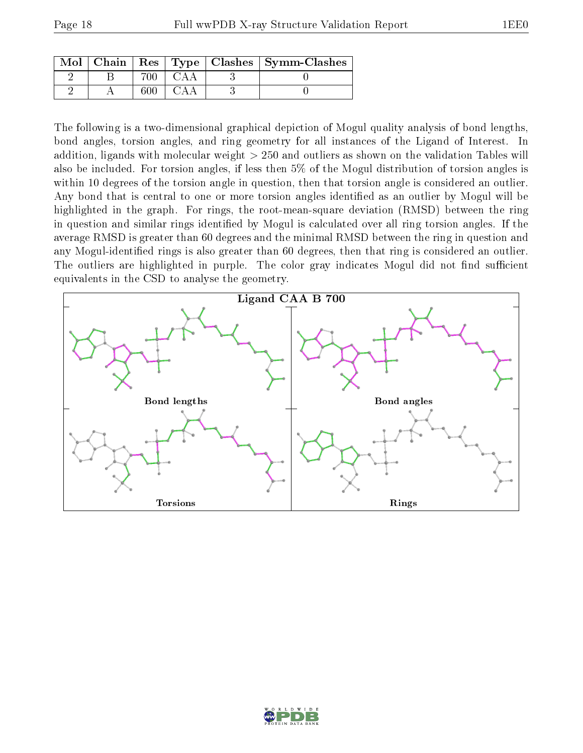| $Mol$   Chain |     |  | $\vert$ Res $\vert$ Type $\vert$ Clashes $\vert$ Symm-Clashes |
|---------------|-----|--|---------------------------------------------------------------|
|               | 700 |  |                                                               |
|               |     |  |                                                               |

The following is a two-dimensional graphical depiction of Mogul quality analysis of bond lengths, bond angles, torsion angles, and ring geometry for all instances of the Ligand of Interest. In addition, ligands with molecular weight > 250 and outliers as shown on the validation Tables will also be included. For torsion angles, if less then 5% of the Mogul distribution of torsion angles is within 10 degrees of the torsion angle in question, then that torsion angle is considered an outlier. Any bond that is central to one or more torsion angles identified as an outlier by Mogul will be highlighted in the graph. For rings, the root-mean-square deviation (RMSD) between the ring in question and similar rings identified by Mogul is calculated over all ring torsion angles. If the average RMSD is greater than 60 degrees and the minimal RMSD between the ring in question and any Mogul-identified rings is also greater than 60 degrees, then that ring is considered an outlier. The outliers are highlighted in purple. The color gray indicates Mogul did not find sufficient equivalents in the CSD to analyse the geometry.



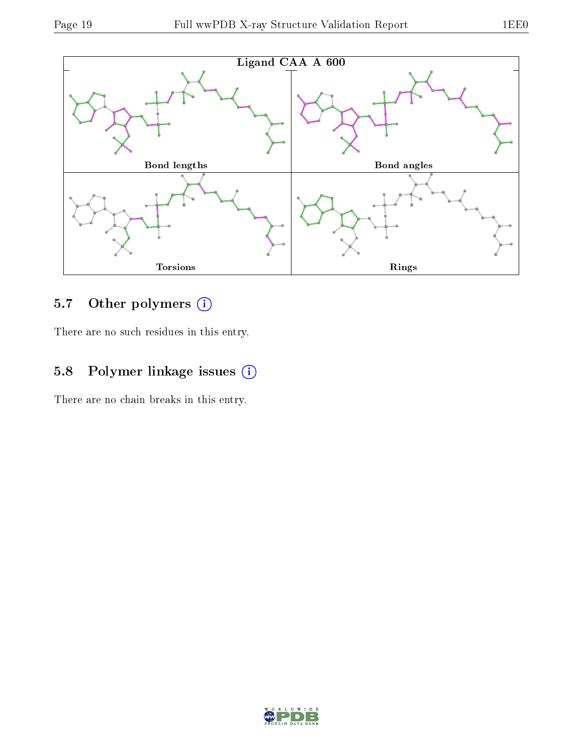

### 5.7 [O](https://www.wwpdb.org/validation/2017/XrayValidationReportHelp#nonstandard_residues_and_ligands)ther polymers (i)

There are no such residues in this entry.

### 5.8 Polymer linkage issues (i)

There are no chain breaks in this entry.

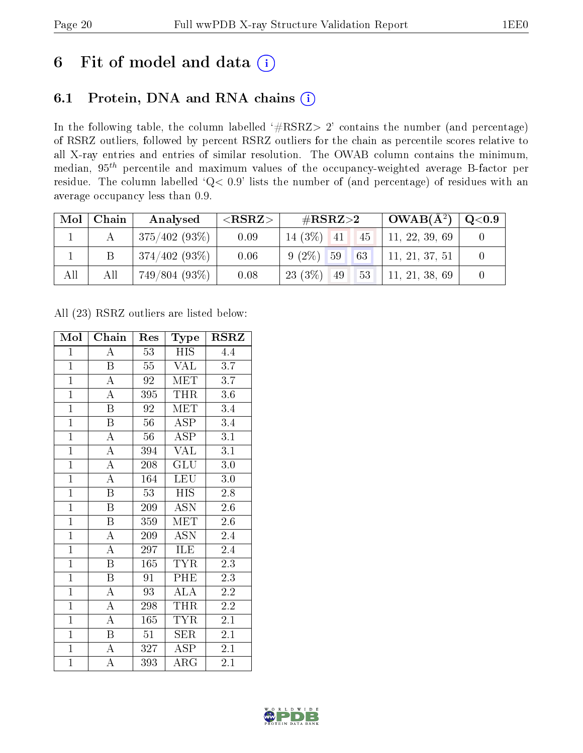# 6 Fit of model and data  $(i)$

### 6.1 Protein, DNA and RNA chains  $(i)$

In the following table, the column labelled  $#RSRZ> 2'$  contains the number (and percentage) of RSRZ outliers, followed by percent RSRZ outliers for the chain as percentile scores relative to all X-ray entries and entries of similar resolution. The OWAB column contains the minimum, median,  $95<sup>th</sup>$  percentile and maximum values of the occupancy-weighted average B-factor per residue. The column labelled ' $Q< 0.9$ ' lists the number of (and percentage) of residues with an average occupancy less than 0.9.

| Mol | Chain | Analysed             | $<$ RSRZ $>$ | # $RSRZ>2$             | $^{\circ}$ OWAB( $\rm \AA^2)$ ,                                            | $\rm Q\textcolor{black}{<}0.9$ |
|-----|-------|----------------------|--------------|------------------------|----------------------------------------------------------------------------|--------------------------------|
|     |       | $\pm 375/402$ (93%). | 0.09         | $14(3\%)$ 41<br>$-145$ | 11, 22, 39, 69                                                             |                                |
|     | B     | 374/402(93%)         | 0.06         | 63<br>$9(2\%)$ 59      | 11, 21, 37, 51                                                             |                                |
| All | All   | 749/804(93%)         | 0.08         | $23(3\%)$<br>49        | $\begin{array}{ c c c c c } \hline 53 & 11, 21, 38, 69 \hline \end{array}$ |                                |

All (23) RSRZ outliers are listed below:

| Mol            | Chain                   | Type<br>Res     |                         | <b>RSRZ</b> |
|----------------|-------------------------|-----------------|-------------------------|-------------|
| $\mathbf{1}$   | $\overline{A}$          | 53              | <b>HIS</b>              | 4.4         |
| $\overline{1}$ | $\mathbf B$             | 55              | <b>VAL</b>              | 3.7         |
| $\overline{1}$ | $\overline{\rm A}$      | 92              | MET                     | 3.7         |
| $\overline{1}$ | $\overline{\rm A}$      | 395             | <b>THR</b>              | $3.6\,$     |
| $\overline{1}$ | $\overline{\mathrm{B}}$ | 92              | <b>MET</b>              | 3.4         |
| $\mathbf{1}$   | $\, {\bf B}$            | 56              | <b>ASP</b>              | 3.4         |
| $\overline{1}$ | $\overline{\rm A}$      | 56              | $\overline{\text{ASP}}$ | 3.1         |
| $\overline{1}$ | $\overline{\rm A}$      | 394             | <b>VAL</b>              | 3.1         |
| $\overline{1}$ | $\overline{\rm A}$      | 208             | $\overline{{\rm GLU}}$  | 3.0         |
| $\overline{1}$ | $\overline{\rm A}$      | 164             | LEU                     | 3.0         |
| $\mathbf{1}$   | $\boldsymbol{B}$        | 53              | <b>HIS</b>              | 2.8         |
| $\overline{1}$ | $\overline{\mathrm{B}}$ | 209             | <b>ASN</b>              | 2.6         |
| $\overline{1}$ | $\overline{B}$          | 359             | <b>MET</b>              | 2.6         |
| $\overline{1}$ | A                       | 209             | <b>ASN</b>              | 2.4         |
| $\overline{1}$ | $\overline{\rm A}$      | 297             | <b>ILE</b>              | 2.4         |
| $\overline{1}$ | $\overline{B}$          | 165             | <b>TYR</b>              | 2.3         |
| $\overline{1}$ | $\overline{\mathrm{B}}$ | $9\overline{1}$ | PHE                     | 2.3         |
| $\mathbf{1}$   | $\overline{\rm A}$      | 93              | ALA                     | 2.2         |
| $\overline{1}$ | $\overline{\rm A}$      | 298             | <b>THR</b>              | 2.2         |
| $\overline{1}$ | $\overline{\rm A}$      | 165             | <b>TYR</b>              | 2.1         |
| $\overline{1}$ | $\boldsymbol{B}$        | 51              | SER                     | 2.1         |
| $\overline{1}$ | $\overline{\rm A}$      | 327             | $\overline{\text{ASP}}$ | 2.1         |
| $\mathbf{1}$   | А                       | 393             | $\rm{ARG}$              | 2.1         |

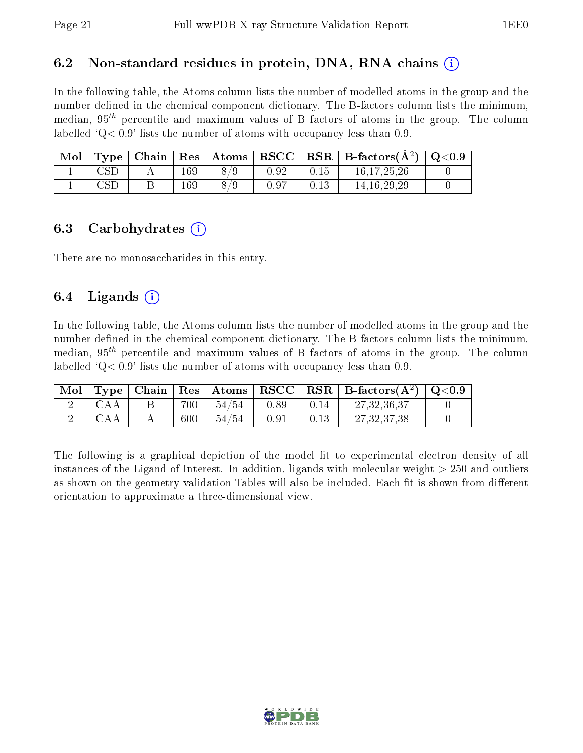#### 6.2 Non-standard residues in protein, DNA, RNA chains  $(i)$

In the following table, the Atoms column lists the number of modelled atoms in the group and the number defined in the chemical component dictionary. The B-factors column lists the minimum, median,  $95<sup>th</sup>$  percentile and maximum values of B factors of atoms in the group. The column labelled  $Q < 0.9$ ' lists the number of atoms with occupancy less than 0.9.

| Mol |                      |     | Type   Chain   Res   Atoms |      |      | $\sqrt{\text{RSCC} \mid \text{RSR} \mid \text{B-factors}(\AA^2) \mid \text{Q}<0.9}$ |  |
|-----|----------------------|-----|----------------------------|------|------|-------------------------------------------------------------------------------------|--|
|     | <b>CSD</b>           | 169 | 8/9                        | 0.92 | 0.15 | 16, 17, 25, 26                                                                      |  |
|     | $\operatorname{CSL}$ | 169 | 8/9                        | 0.97 | 0.13 | 14.16.29.29                                                                         |  |

#### 6.3 Carbohydrates (i)

There are no monosaccharides in this entry.

### 6.4 Ligands  $(i)$

In the following table, the Atoms column lists the number of modelled atoms in the group and the number defined in the chemical component dictionary. The B-factors column lists the minimum, median,  $95<sup>th</sup>$  percentile and maximum values of B factors of atoms in the group. The column labelled  $Q< 0.9$  lists the number of atoms with occupancy less than 0.9.

| $^{\prime}$ Mol $_{\odot}$ |     |         |       |      |      | $\mid$ Type $\mid$ Chain $\mid$ Res $\mid$ Atoms $\mid$ RSCC $\mid$ RSR $\mid$ B-factors(A <sup>2</sup> ) $\mid$ Q<0.9 |  |
|----------------------------|-----|---------|-------|------|------|------------------------------------------------------------------------------------------------------------------------|--|
|                            |     | 700     | 54/54 | 0.89 | 0.14 | 27, 32, 36, 37                                                                                                         |  |
|                            | CAA | $600\,$ | 54/54 | 0.91 | 0.13 | 27, 32, 37, 38                                                                                                         |  |

The following is a graphical depiction of the model fit to experimental electron density of all instances of the Ligand of Interest. In addition, ligands with molecular weight  $> 250$  and outliers as shown on the geometry validation Tables will also be included. Each fit is shown from different orientation to approximate a three-dimensional view.

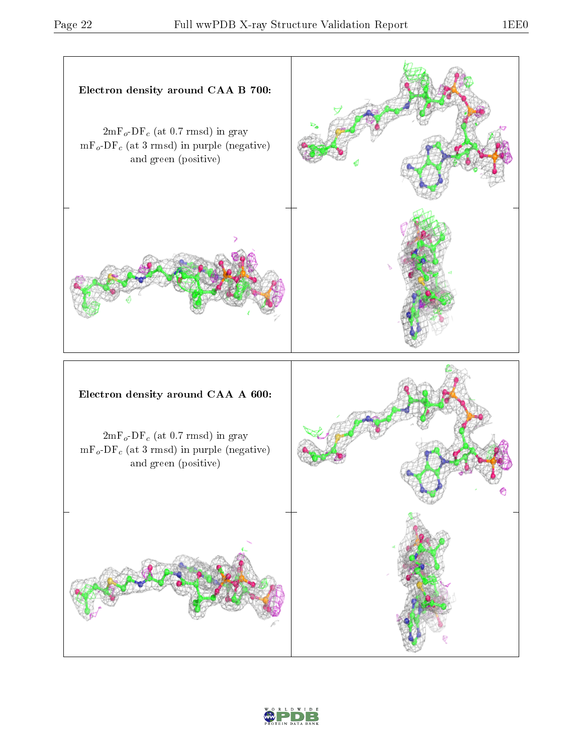